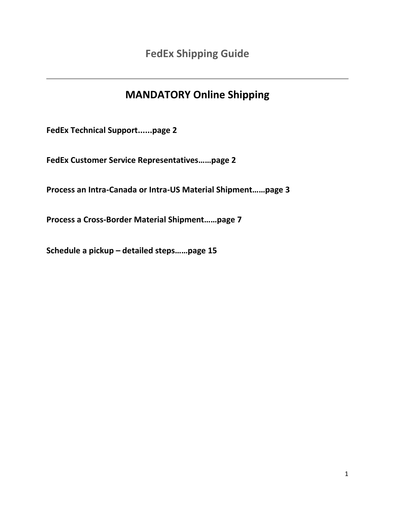# **MANDATORY Online Shipping**

**FedEx Technical Support......page 2**

**FedEx Customer Service Representatives……page 2**

**Process an Intra-Canada or Intra-US Material Shipment……page 3** 

**Process a Cross-Border Material Shipment……page 7**

**Schedule a pickup – detailed steps……page 15**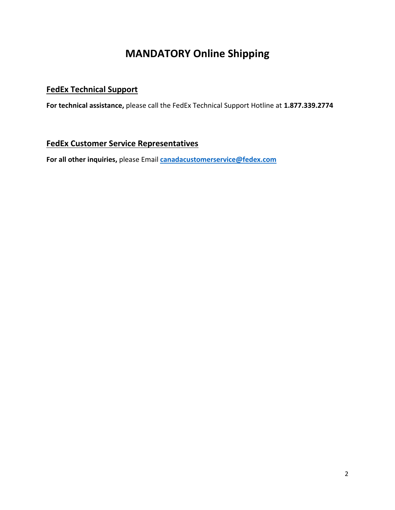# **MANDATORY Online Shipping**

### **FedEx Technical Support**

**For technical assistance,** please call the FedEx Technical Support Hotline at **1.877.339.2774**

### **FedEx Customer Service Representatives**

**For all other inquiries,** please Email **[canadacustomerservice@fedex.com](mailto:canadacustomerservice@fedex.com)**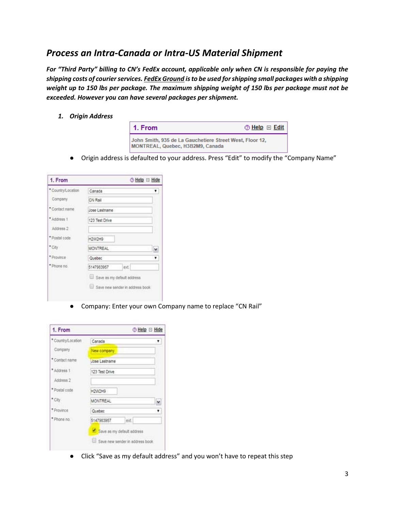## *Process an Intra-Canada or Intra-US Material Shipment*

*For "Third Party" billing to CN's FedEx account, applicable only when CN is responsible for paying the shipping costs of courier services. FedEx Ground is to be used for shipping small packages with a shipping weight up to 150 lbs per package. The maximum shipping weight of 150 lbs per package must not be exceeded. However you can have several packages per shipment.* 

*1. Origin Address*

| 1. From                                                                                      | $\oslash$ Help $\Xi$ Edit |
|----------------------------------------------------------------------------------------------|---------------------------|
| John Smith, 935 de La Gauchetiere Street West, Floor 12,<br>MONTREAL, Quebec, H3B2M9, Canada |                           |

● Origin address is defaulted to your address. Press "Edit" to modify the "Company Name"

| 1. From            |                                 | ⊙ Help <b>El Hide</b> |
|--------------------|---------------------------------|-----------------------|
| * Country/Location | Canada                          | ۳.                    |
| Company            | CN Rail                         |                       |
| * Contact name     | Jose Lastname                   |                       |
| * Address 1        | 123 Test Drive                  |                       |
| Address 2          |                                 |                       |
| * Postal code      | H2W2H9                          |                       |
| * City             | <b>MONTREAL</b>                 | $\checkmark$          |
| * Province         | Quebec                          | ۳                     |
| * Phone no.        | 5147983957<br>ext.              |                       |
|                    | Save as my default address      |                       |
|                    | Save new sender in address book |                       |

● Company: Enter your own Company name to replace "CN Rail"

| 1. From            |                                 | ⊙ Help <sup>⊟</sup> Hide |
|--------------------|---------------------------------|--------------------------|
| * Country/Location | Canada                          |                          |
| Company            | New company                     |                          |
| * Contact name     | Jose Lastname                   |                          |
| *Address 1         | 123 Test Drive                  |                          |
| Address 2          |                                 |                          |
| * Postal code      | H2W2H9                          |                          |
| * City             | <b>MONTREAL</b>                 | v                        |
| * Province         | Quebec                          |                          |
| * Phone no.        | 5147983957<br>ext               |                          |
|                    | Save as my default address      |                          |
|                    | Save new sender in address book |                          |

● Click "Save as my default address" and you won't have to repeat this step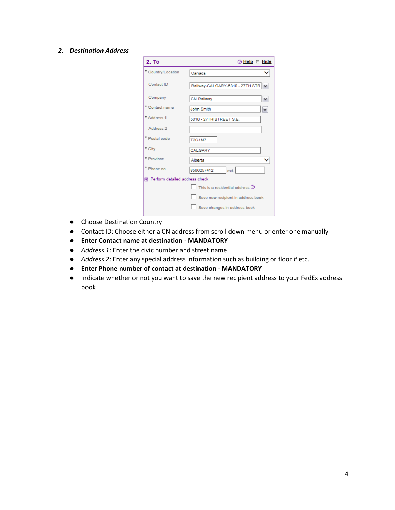#### *2. Destination Address*

| 2. To                            | <b>⑦ Help</b> □ Hide                          |
|----------------------------------|-----------------------------------------------|
| * Country/Location               | Canada                                        |
| Contact ID                       | Railway-CALGARY-5310 - 27TH STR<br>$\check{}$ |
| Company                          | <b>CN Railway</b><br>v                        |
| * Contact name                   | John Smith<br>v                               |
| * Address 1                      | 5310 - 27TH STREET S.E.                       |
| Address 2                        |                                               |
| * Postal code                    | <b>T2C1M7</b>                                 |
| * City                           | CALGARY                                       |
| * Province                       | Alberta                                       |
| * Phone no.                      | 8566257412<br>ext.                            |
| 田 Perform detailed address check |                                               |
|                                  | This is a residential address $@$             |
|                                  | Save new recipient in address book            |
|                                  | Save changes in address book                  |

- Choose Destination Country
- Contact ID: Choose either a CN address from scroll down menu or enter one manually
- **Enter Contact name at destination - MANDATORY**
- *Address 1*: Enter the civic number and street name
- *Address 2*: Enter any special address information such as building or floor # etc.
- **Enter Phone number of contact at destination - MANDATORY**
- Indicate whether or not you want to save the new recipient address to your FedEx address book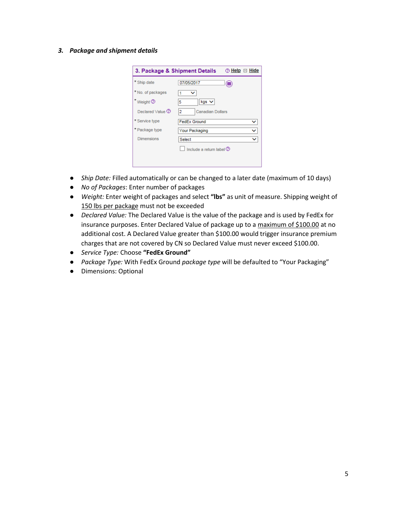*3. Package and shipment details*

| 3. Package & Shipment Details |                              | ② <u>Help</u> □ Hide |
|-------------------------------|------------------------------|----------------------|
| Ship date                     | 07/05/2017                   | 噩                    |
| No. of packages               | $\check{ }$                  |                      |
| Weight <sup>(2)</sup>         | $kqs$ $\vee$<br>5            |                      |
| Declared Value 2              | 2<br><b>Canadian Dollars</b> |                      |
| * Service type                | <b>FedEx Ground</b>          | v                    |
| * Package type                | Your Packaging               | v                    |
| <b>Dimensions</b>             | Select                       | ◡                    |
|                               | Include a return label $(2)$ |                      |
|                               |                              |                      |
|                               |                              |                      |

- *Ship Date:* Filled automatically or can be changed to a later date (maximum of 10 days)
- *No of Packages*: Enter number of packages
- *Weight:* Enter weight of packages and select **"lbs"** as unit of measure. Shipping weight of 150 lbs per package must not be exceeded
- *Declared Value:* The Declared Value is the value of the package and is used by FedEx for insurance purposes. Enter Declared Value of package up to a maximum of \$100.00 at no additional cost. A Declared Value greater than \$100.00 would trigger insurance premium charges that are not covered by CN so Declared Value must never exceed \$100.00.
- *Service Type:* Choose **"FedEx Ground"**
- *Package Type:* With FedEx Ground *package type* will be defaulted to "Your Packaging"
- Dimensions: Optional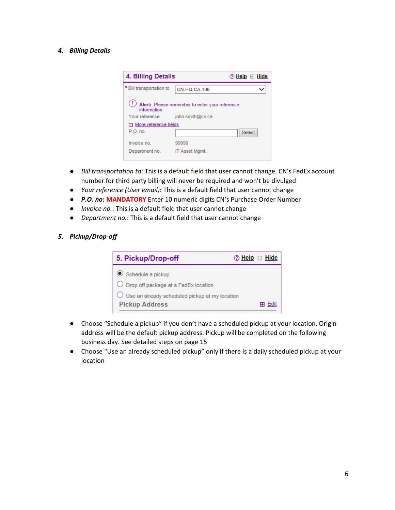#### *4. Billing Details*

| <b>4. Billing Details</b> | $\circledcirc$ Help $\;\Box$ Hide              |
|---------------------------|------------------------------------------------|
| * Bill transportation to  | CN-HQ-CA-106                                   |
| information.              | Alert: Please remember to enter your reference |
| Your reference            | john.smith@cn.ca                               |
| 日 More reference fields   |                                                |
| P.O. no.                  | <b>Select</b>                                  |
| Invoice no.               | 99999                                          |
| Department no.            | IT Asset Mamt.                                 |

- *Bill transportation to*: This is a default field that user cannot change. CN's FedEx account number for third party billing will never be required and won't be divulged
- *Your reference (User email)*: This is a default field that user cannot change
- *P.O. no***: MANDATORY** Enter 10 numeric digits CN's Purchase Order Number
- *Invoice no.*: This is a default field that user cannot change
- *Department no.*: This is a default field that user cannot change

#### *5. Pickup/Drop-off*

| 5. Pickup/Drop-off                                        | $\circledcirc$ Help $\Box$ Hide |
|-----------------------------------------------------------|---------------------------------|
| $\bullet$ Schedule a pickup                               |                                 |
| $\bigcirc$ Drop off package at a FedEx location           |                                 |
| $\bigcirc$ Use an already scheduled pickup at my location |                                 |
| <b>Pickup Address</b>                                     |                                 |

- Choose "Schedule a pickup" if you don't have a scheduled pickup at your location. Origin address will be the default pickup address. Pickup will be completed on the following business day. See detailed steps on page 15
- Choose "Use an already scheduled pickup" only if there is a daily scheduled pickup at your location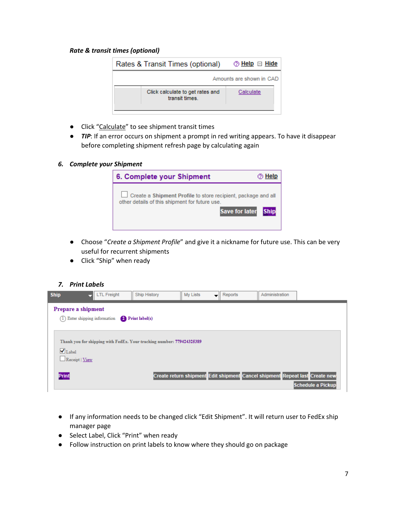#### *Rate & transit times (optional)*

| Rates & Transit Times (optional)                  | ② <u>Help</u> □ Hide     |
|---------------------------------------------------|--------------------------|
|                                                   | Amounts are shown in CAD |
| Click calculate to get rates and<br>transit times | Calculate                |
|                                                   |                          |

- Click "Calculate" to see shipment transit times
- *TIP*: If an error occurs on shipment a prompt in red writing appears. To have it disappear before completing shipment refresh page by calculating again

#### *6. Complete your Shipment*



- Choose "*Create a Shipment Profile*" and give it a nickname for future use. This can be very useful for recurrent shipments
- Click "Ship" when ready

#### *7. Print Labels*

| <b>Ship</b>                                       | <b>LTL Freight</b>                              | <b>Ship History</b>                                                   | My Lists | Reports | Administration |                                                                                                  |
|---------------------------------------------------|-------------------------------------------------|-----------------------------------------------------------------------|----------|---------|----------------|--------------------------------------------------------------------------------------------------|
| Prepare a shipment                                |                                                 |                                                                       |          |         |                |                                                                                                  |
|                                                   | (1) Enter shipping information P Print label(s) |                                                                       |          |         |                |                                                                                                  |
| $\bigvee$ Label<br>$\Box$ Receipt   View<br>Print |                                                 | Thank you for shipping with FedEx. Your tracking number: 779424325389 |          |         |                | Create return shipment Edit shipment Cancel shipment Repeat last Create new<br>Schedule a Pickup |

- If any information needs to be changed click "Edit Shipment". It will return user to FedEx ship manager page
- Select Label, Click "Print" when ready
- Follow instruction on print labels to know where they should go on package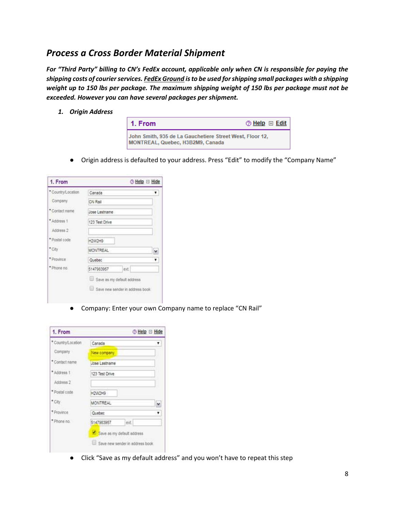## *Process a Cross Border Material Shipment*

*For "Third Party" billing to CN's FedEx account, applicable only when CN is responsible for paying the shipping costs of courier services. FedEx Ground is to be used for shipping small packages with a shipping weight up to 150 lbs per package. The maximum shipping weight of 150 lbs per package must not be exceeded. However you can have several packages per shipment.* 

*1. Origin Address* 

| 1. From                                                                                      | ② <u>Help</u> ⊞ Edit |
|----------------------------------------------------------------------------------------------|----------------------|
| John Smith, 935 de La Gauchetiere Street West, Floor 12,<br>MONTREAL, Quebec, H3B2M9, Canada |                      |

● Origin address is defaulted to your address. Press "Edit" to modify the "Company Name"

| 1. From            |                                 | ⊙ Help <b>El</b> Hide |
|--------------------|---------------------------------|-----------------------|
| * Country/Location | Canada                          |                       |
| Company            | CN Rail                         |                       |
| * Contact name     | Jose Lastname                   |                       |
| * Address 1        | 123 Test Drive                  |                       |
| Address 2          |                                 |                       |
| * Postal code      | H2W2H9                          |                       |
| * City             | <b>MONTREAL</b>                 | ×                     |
| * Province         | Quebec                          | $\mathbf{r}$          |
| * Phone no.        | 5147983957<br>ext.              |                       |
|                    | Save as my default address      |                       |
|                    | Save new sender in address book |                       |

● Company: Enter your own Company name to replace "CN Rail"

| 1. From            |                                 | ⊙ Help ⊟ Hide |
|--------------------|---------------------------------|---------------|
| * Country/Location | Canada                          |               |
| Company            | New company                     |               |
| * Contact name     | Jose Lastname                   |               |
| * Address 1        | 123 Test Drive                  |               |
| Address 2          |                                 |               |
| * Postal code      | H2W2H9                          |               |
| * City             | <b>MONTREAL</b>                 |               |
| * Province         | Quebec                          |               |
| * Phone no.        | ext<br>5147983957               |               |
|                    | Save as my default address      |               |
|                    | Save new sender in address book |               |

● Click "Save as my default address" and you won't have to repeat this step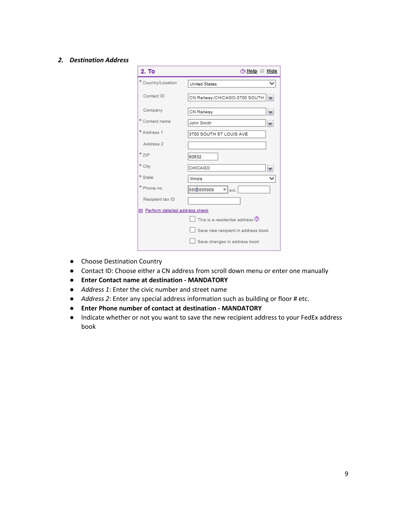#### *2. Destination Address*

| 2. To                            | $\circledcirc$ Help $\equiv$ Hide  |
|----------------------------------|------------------------------------|
| * Country/Location               | <b>United States</b>               |
| Contact ID                       | CN Railway-CHICAGO-3700 SOUTH      |
| Company                          | CN Railway                         |
| * Contact name                   | John Smith<br>٧                    |
| * Address 1                      | 3700 SOUTH ST LOUIS AVE            |
| Address 2                        |                                    |
| $*$ zip                          | 60632                              |
| * City                           | CHICAGO                            |
| * State                          | <b>Illinois</b>                    |
| * Phone no.                      | 8888885909<br>$x$ ext.             |
| Recipient tax ID                 |                                    |
| 田 Perform detailed address check |                                    |
|                                  | This is a residential address $@$  |
|                                  | Save new recipient in address book |
|                                  | Save changes in address book       |

- Choose Destination Country
- Contact ID: Choose either a CN address from scroll down menu or enter one manually
- **Enter Contact name at destination - MANDATORY**
- *Address 1*: Enter the civic number and street name
- *Address 2*: Enter any special address information such as building or floor # etc.
- **Enter Phone number of contact at destination - MANDATORY**
- Indicate whether or not you want to save the new recipient address to your FedEx address book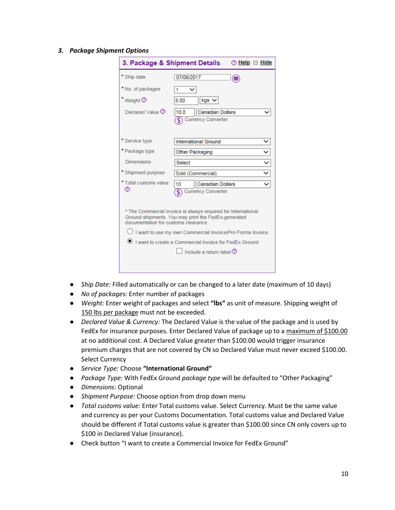#### *3. Package Shipment Options*

| 3. Package & Shipment Details                                                                                         | ② <u>Help</u> □ Hide                                                                                                 |  |  |  |
|-----------------------------------------------------------------------------------------------------------------------|----------------------------------------------------------------------------------------------------------------------|--|--|--|
| * Ship date                                                                                                           | 07/06/2017<br>(⊞                                                                                                     |  |  |  |
| * No. of packages                                                                                                     | 1                                                                                                                    |  |  |  |
| Weight <sup>(2)</sup>                                                                                                 | 5.00<br>kgs N                                                                                                        |  |  |  |
| Declared Value 2                                                                                                      | <b>Canadian Dollars</b><br>10.0<br><b>Currency Converter</b><br>ς                                                    |  |  |  |
| Service type                                                                                                          | <b>International Ground</b>                                                                                          |  |  |  |
| *Package type                                                                                                         | Other Packaging                                                                                                      |  |  |  |
| Dimensions                                                                                                            | Select                                                                                                               |  |  |  |
| * Shipment purpose                                                                                                    | Sold (Commercial)                                                                                                    |  |  |  |
| * Total customs value<br>℗                                                                                            | <b>Canadian Dollars</b><br>10<br>ŝ<br><b>Currency Converter</b>                                                      |  |  |  |
| documentation for customs clearance.                                                                                  | * The Commercial Invoice is always required for International<br>Ground shipments. You may print the FedEx-generated |  |  |  |
| ◯ I want to use my own Commercial Invoice/Pro Forma Invoice<br>I want to create a Commercial Invoice for FedEx Ground |                                                                                                                      |  |  |  |
|                                                                                                                       | Include a return label $@$                                                                                           |  |  |  |

- *Ship Date:* Filled automatically or can be changed to a later date (maximum of 10 days)
- *No of packages:* Enter number of packages
- *Weight:* Enter weight of packages and select **"lbs"** as unit of measure. Shipping weight of 150 lbs per package must not be exceeded.
- *Declared Value & Currency:* The Declared Value is the value of the package and is used by FedEx for insurance purposes. Enter Declared Value of package up to a maximum of \$100.00 at no additional cost. A Declared Value greater than \$100.00 would trigger insurance premium charges that are not covered by CN so Declared Value must never exceed \$100.00. Select Currency
- *Service Type:* Choose **"International Ground"**
- *Package Type:* With FedEx Ground *package type* will be defaulted to "Other Packaging"
- *Dimensions*: Optional
- *Shipment Purpose:* Choose option from drop down menu
- *Total customs value:* Enter Total customs value. Select Currency. Must be the same value and currency as per your Customs Documentation. Total customs value and Declared Value should be different if Total customs value is greater than \$100.00 since CN only covers up to \$100 in Declared Value (insurance).
- Check button "I want to create a Commercial Invoice for FedEx Ground"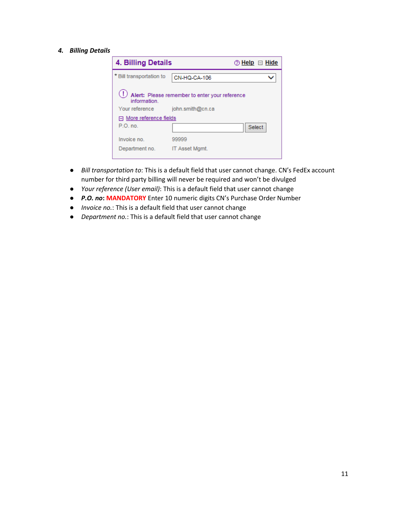#### *4. Billing Details*

| 4. Billing Details       | 2 Help □ Hide                                  |
|--------------------------|------------------------------------------------|
| * Bill transportation to | CN-HQ-CA-106                                   |
| information.             | Alert: Please remember to enter your reference |
| Your reference           | john.smith@cn.ca                               |
| □ More reference fields  |                                                |
| P.O. no.                 | <b>Select</b>                                  |
| Invoice no.              | 99999                                          |
| Department no.           | <b>IT Asset Mamt.</b>                          |

- *Bill transportation to*: This is a default field that user cannot change. CN's FedEx account number for third party billing will never be required and won't be divulged
- *Your reference (User email)*: This is a default field that user cannot change
- *P.O. no***: MANDATORY** Enter 10 numeric digits CN's Purchase Order Number
- *Invoice no.*: This is a default field that user cannot change
- *Department no.*: This is a default field that user cannot change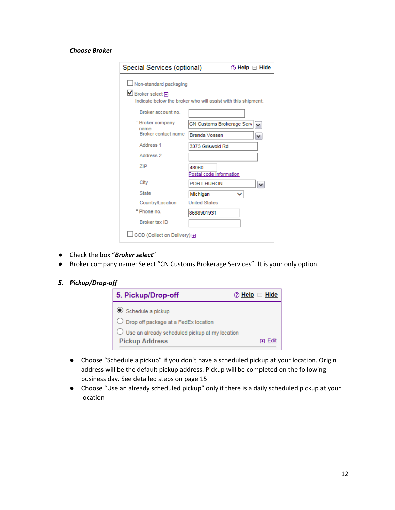#### *Choose Broker*

| Special Services (optional)                                           | ② <u>Help</u> □ <u>Hide</u>                                   |
|-----------------------------------------------------------------------|---------------------------------------------------------------|
| Non-standard packaging<br>$\blacksquare$ Broker select $\blacksquare$ | Indicate below the broker who will assist with this shipment. |
| Broker account no.                                                    |                                                               |
| * Broker company<br>name                                              | CN Customs Brokerage Serv<br>v                                |
| Broker contact name                                                   | <b>Brenda Vossen</b>                                          |
| Address 1                                                             | 3373 Griswold Rd                                              |
| Address 2                                                             |                                                               |
| ZIP                                                                   | 48060<br>Postal code information                              |
| City                                                                  | PORT HURON                                                    |
| <b>State</b>                                                          | Michigan                                                      |
| Country/Location                                                      | <b>United States</b>                                          |
| * Phone no.                                                           | 8668901931                                                    |
| Broker tax ID                                                         |                                                               |
| COD (Collect on Delivery) 田                                           |                                                               |

- Check the box "*Broker select*"
- Broker company name: Select "CN Customs Brokerage Services". It is your only option.

#### *5. Pickup/Drop-off*



- Choose "Schedule a pickup" if you don't have a scheduled pickup at your location. Origin address will be the default pickup address. Pickup will be completed on the following business day. See detailed steps on page 15
- Choose "Use an already scheduled pickup" only if there is a daily scheduled pickup at your location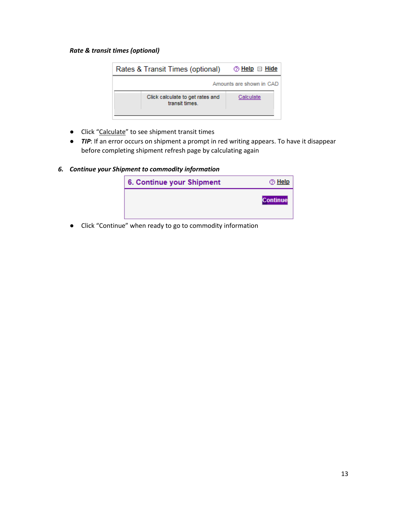#### *Rate & transit times (optional)*



- Click "Calculate" to see shipment transit times
- *TIP*: If an error occurs on shipment a prompt in red writing appears. To have it disappear before completing shipment refresh page by calculating again
- *6. Continue your Shipment to commodity information*

| 6. Continue your Shipment | <b>⊘</b> Help   |
|---------------------------|-----------------|
|                           | <b>Continue</b> |

● Click "Continue" when ready to go to commodity information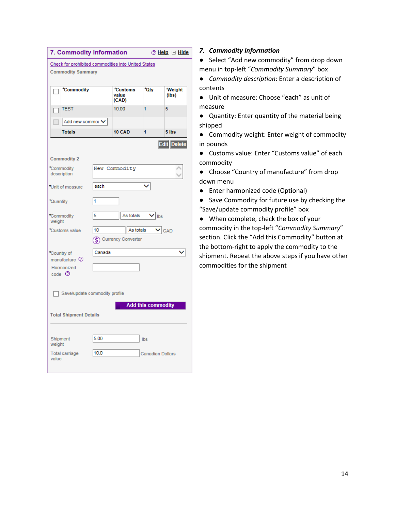|                               | 7. Commodity Information                            |                        |                            |                           | ② <u>Help</u> □ <u>Hide</u> |  |
|-------------------------------|-----------------------------------------------------|------------------------|----------------------------|---------------------------|-----------------------------|--|
|                               | Check for prohibited commodities into United States |                        |                            |                           |                             |  |
|                               | <b>Commodity Summary</b>                            |                        |                            |                           |                             |  |
|                               | *Commodity                                          |                        | *Customs<br>value<br>(CAD) | <b>Oty</b>                | Weight<br>(lbs)             |  |
|                               | <b>TEST</b>                                         |                        | 10.00                      | 1                         | 5                           |  |
|                               | Add new commo: V                                    |                        |                            |                           |                             |  |
|                               | <b>Totals</b>                                       |                        | <b>10 CAD</b>              | 1                         | 5 lbs                       |  |
|                               |                                                     |                        |                            |                           | Edit Delete                 |  |
|                               | <b>Commodity 2</b>                                  |                        |                            |                           |                             |  |
|                               | Commodity<br>description                            |                        | New Commodity              |                           |                             |  |
|                               | Unit of measure                                     | each                   |                            |                           |                             |  |
| Quantity                      |                                                     | 1                      |                            |                           |                             |  |
| weight                        | Commodity                                           | 5                      | As totals                  | $\vee$ lbs                |                             |  |
|                               | Customs value                                       | 10<br>As totals<br>CAD |                            |                           |                             |  |
|                               |                                                     | Ś.                     | <b>Currency Converter</b>  |                           |                             |  |
|                               | Country of<br>manufacture 2                         | Canada                 |                            |                           |                             |  |
|                               | Harmonized<br>$code \oslash$                        |                        |                            |                           |                             |  |
| Save/update commodity profile |                                                     |                        |                            |                           |                             |  |
|                               |                                                     |                        |                            | <b>Add this commodity</b> |                             |  |
| <b>Total Shipment Details</b> |                                                     |                        |                            |                           |                             |  |
| weight                        | Shipment                                            | 5.00                   |                            | Ibs                       |                             |  |
| value                         | <b>Total carriage</b>                               | 10.0                   |                            | <b>Canadian Dollars</b>   |                             |  |
|                               |                                                     |                        |                            |                           |                             |  |

#### *7. Commodity Information*

● Select "Add new commodity" from drop down menu in top-left "*Commodity Summary*" box

● *Commodity description*: Enter a description of contents

● Unit of measure: Choose "**each**" as unit of measure

● Quantity: Enter quantity of the material being shipped

● Commodity weight: Enter weight of commodity in pounds

● Customs value: Enter "Customs value" of each commodity

● Choose "Country of manufacture" from drop down menu

● Enter harmonized code (Optional)

● Save Commodity for future use by checking the "Save/update commodity profile" box

● When complete, check the box of your commodity in the top-left "*Commodity Summary*" section. Click the "Add this Commodity" button at the bottom-right to apply the commodity to the shipment. Repeat the above steps if you have other commodities for the shipment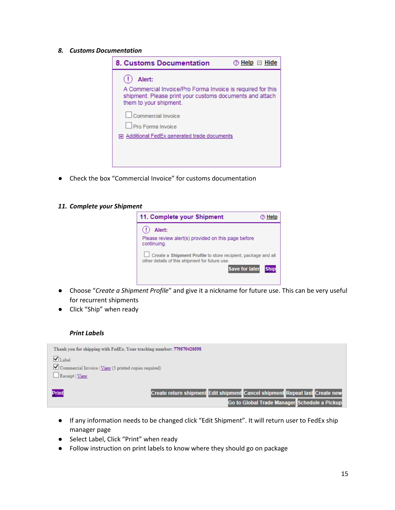*8. Customs Documentation*

| <b>8. Customs Documentation</b>                                                                                                                             | ② Help □ Hide |
|-------------------------------------------------------------------------------------------------------------------------------------------------------------|---------------|
| Alert:<br>A Commercial Invoice/Pro Forma Invoice is required for this<br>shipment. Please print your customs documents and attach<br>them to your shipment. |               |
| Commercial Invoice<br><b>Pro Forma Invoice</b><br>田 Additional FedEx generated trade documents                                                              |               |
|                                                                                                                                                             |               |

● Check the box "Commercial Invoice" for customs documentation

#### *11. Complete your Shipment*

| 11. Complete your Shipment                                                                                      |             |
|-----------------------------------------------------------------------------------------------------------------|-------------|
| Alert:                                                                                                          |             |
| Please review alert(s) provided on this page before<br>continuing.                                              |             |
| Create a Shipment Profile to store recipient, package and all<br>other details of this shipment for future use. |             |
| <b>Save for later</b>                                                                                           | <b>Ship</b> |
|                                                                                                                 |             |

- Choose "*Create a Shipment Profile*" and give it a nickname for future use. This can be very useful for recurrent shipments
- Click "Ship" when ready

#### *Print Labels*

| Thank you for shipping with FedEx. Your tracking number: 779570420598 |                                                                             |
|-----------------------------------------------------------------------|-----------------------------------------------------------------------------|
| $\blacksquare$ Label                                                  |                                                                             |
| Commercial Invoice   View (3 printed copies required)                 |                                                                             |
| Receipt   View                                                        |                                                                             |
|                                                                       |                                                                             |
| Print                                                                 | Create return shipment Edit shipment Cancel shipment Repeat last Create new |
|                                                                       | Go to Global Trade Manager Schedule a Pickup                                |

- If any information needs to be changed click "Edit Shipment". It will return user to FedEx ship manager page
- Select Label, Click "Print" when ready
- Follow instruction on print labels to know where they should go on package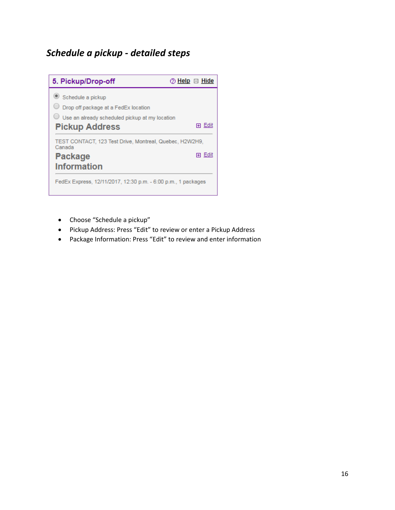## *Schedule a pickup - detailed steps*



- Choose "Schedule a pickup"
- Pickup Address: Press "Edit" to review or enter a Pickup Address
- Package Information: Press "Edit" to review and enter information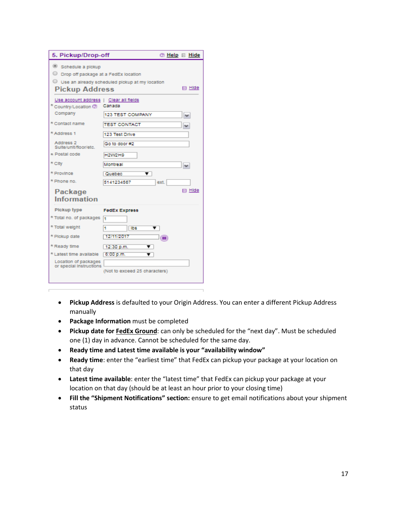| 5. Pickup/Drop-off                                                                   |                                                                 |
|--------------------------------------------------------------------------------------|-----------------------------------------------------------------|
| Schedule a pickup<br>O Drop off package at a FedEx location<br><b>Pickup Address</b> | Use an already scheduled pickup at my location<br>$\Box$ Hide   |
| Use account address   Clear all fields<br>Country/Location 2<br>Company              | Canada                                                          |
| * Contact name                                                                       | <b>123 TEST COMPANY</b><br>M<br><b>TEST CONTACT</b><br><b>N</b> |
| * Address 1<br>Address 2<br>Suite/unit/floor/etc.                                    | 123 Test Drive<br>Go to door #2                                 |
| * Postal code                                                                        | H2W2H9                                                          |
| * City                                                                               | Montreal<br>M                                                   |
| * Province                                                                           | Quebec<br>▼                                                     |
| * Phone no.                                                                          | 5141234567<br>ext.                                              |
| Package<br>Information                                                               | El Hide                                                         |
| Pickup type                                                                          | <b>FedEx Express</b>                                            |
| * Total no. of packages                                                              | I٦                                                              |
| * Total weight                                                                       | ٦<br>Ibs<br>▼                                                   |
| * Plckup date                                                                        | 12/11/2017<br>(明)                                               |
| * Ready time                                                                         | 12:30 p.m.<br>▼                                                 |
| * Latest time available                                                              | 6:00 p.m.<br>v                                                  |
| Location of packages<br>or special instructions                                      | (Not to exceed 25 characters)                                   |

- **Pickup Address** is defaulted to your Origin Address. You can enter a different Pickup Address manually
- **Package Information** must be completed
- **Pickup date for FedEx Ground**: can only be scheduled for the "next day". Must be scheduled one (1) day in advance. Cannot be scheduled for the same day.
- **Ready time and Latest time available is your "availability window"**
- **Ready time**: enter the "earliest time" that FedEx can pickup your package at your location on that day
- **Latest time available**: enter the "latest time" that FedEx can pickup your package at your location on that day (should be at least an hour prior to your closing time)
- **Fill the "Shipment Notifications" section:** ensure to get email notifications about your shipment status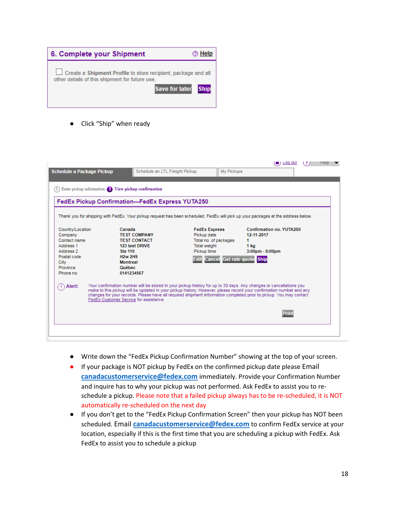

Click "Ship" when ready

|                                             | Enter pickup information <sup>2</sup> View pickup confirmation                                                                                                                                                                                                                                                                                                                                            |                                                              |                                                     |  |
|---------------------------------------------|-----------------------------------------------------------------------------------------------------------------------------------------------------------------------------------------------------------------------------------------------------------------------------------------------------------------------------------------------------------------------------------------------------------|--------------------------------------------------------------|-----------------------------------------------------|--|
|                                             | FedEx Pickup Confirmation-FedEx Express YUTA250                                                                                                                                                                                                                                                                                                                                                           |                                                              |                                                     |  |
|                                             |                                                                                                                                                                                                                                                                                                                                                                                                           |                                                              |                                                     |  |
|                                             | Thank you for shipping with FedEx. Your pickup request has been scheduled. FedEx will pick up your packages at the address below.                                                                                                                                                                                                                                                                         |                                                              |                                                     |  |
| Country/Location<br>Company<br>Contact name | Canada<br><b>TEST COMPANY</b><br><b>TEST CONTACT</b>                                                                                                                                                                                                                                                                                                                                                      | <b>FedEx Express</b><br>Pickup date<br>Total no. of packages | <b>Confirmation no. YUTA250</b><br>12-11-2017<br>1. |  |
| Address 1                                   | 123 test DRIVE                                                                                                                                                                                                                                                                                                                                                                                            | <b>Total weight</b>                                          | 1 ka                                                |  |
| Address 2                                   | <b>Ste 110</b>                                                                                                                                                                                                                                                                                                                                                                                            | Pickup time                                                  | $3:00$ pm - $6:00$ pm                               |  |
| Postal code<br>City                         | <b>H<sub>2w</sub></b> 2H <sub>9</sub><br><b>Montreal</b>                                                                                                                                                                                                                                                                                                                                                  | Edit Cancel Get rate quote Ship                              |                                                     |  |
| Province                                    | Québec                                                                                                                                                                                                                                                                                                                                                                                                    |                                                              |                                                     |  |
| Phone no                                    | 5141234567                                                                                                                                                                                                                                                                                                                                                                                                |                                                              |                                                     |  |
| Alert:                                      | Your confirmation number will be stored in your pickup history for up to 30 days. Any changes or cancellations you<br>make to this pickup will be updated in your pickup history. However, please record your confirmation number and any<br>changes for your records. Please have all required shipment information completed prior to pickup. You may contact<br>FedEx Customer Service for assistance. |                                                              |                                                     |  |
|                                             |                                                                                                                                                                                                                                                                                                                                                                                                           |                                                              | Print                                               |  |

- Write down the "FedEx Pickup Confirmation Number" showing at the top of your screen.
- If your package is NOT pickup by FedEx on the confirmed pickup date please Email **[canadacustomerservice@fedex.com](mailto:canadacustomerservice@fedex.com)** immediately. Provide your Confirmation Number and inquire has to why your pickup was not performed. Ask FedEx to assist you to reschedule a pickup. Please note that a failed pickup always has to be re-scheduled, it is NOT automatically re-scheduled on the next day
- If you don't get to the "FedEx Pickup Confirmation Screen" then your pickup has NOT been scheduled. Email **[canadacustomerservice@fedex.com](mailto:canadacustomerservice@fedex.com)** to confirm FedEx service at your location, especially if this is the first time that you are scheduling a pickup with FedEx. Ask FedEx to assist you to schedule a pickup